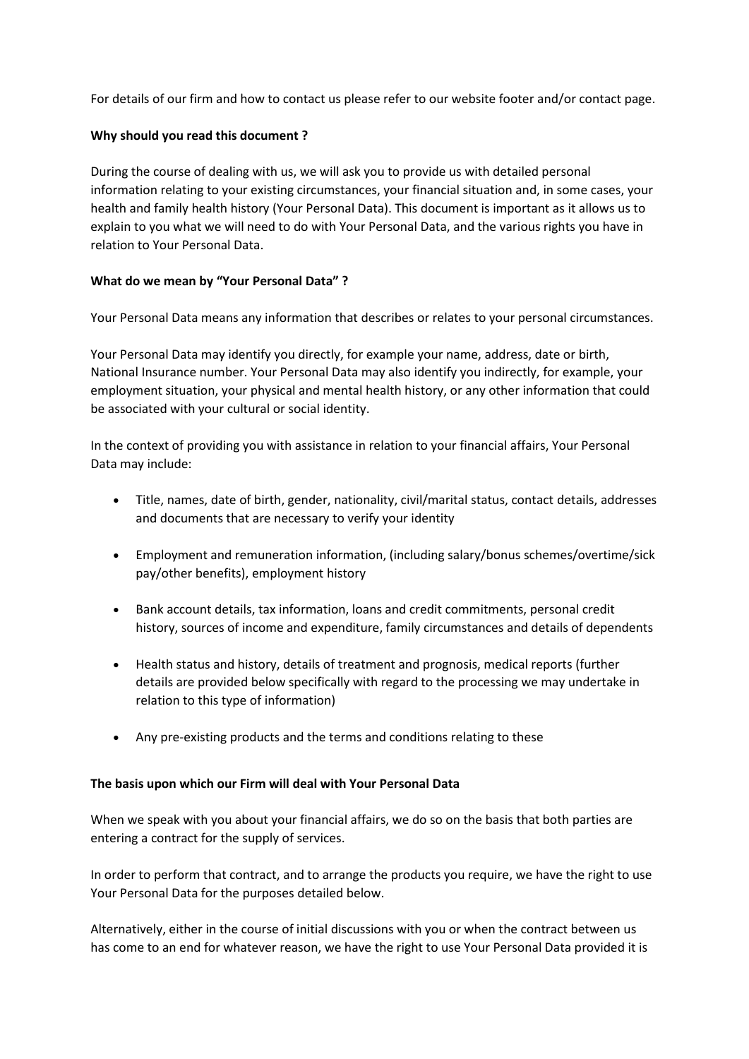For details of our firm and how to contact us please refer to our website footer and/or contact page.

# **Why should you read this document ?**

During the course of dealing with us, we will ask you to provide us with detailed personal information relating to your existing circumstances, your financial situation and, in some cases, your health and family health history (Your Personal Data). This document is important as it allows us to explain to you what we will need to do with Your Personal Data, and the various rights you have in relation to Your Personal Data.

## **What do we mean by "Your Personal Data" ?**

Your Personal Data means any information that describes or relates to your personal circumstances.

Your Personal Data may identify you directly, for example your name, address, date or birth, National Insurance number. Your Personal Data may also identify you indirectly, for example, your employment situation, your physical and mental health history, or any other information that could be associated with your cultural or social identity.

In the context of providing you with assistance in relation to your financial affairs, Your Personal Data may include:

- Title, names, date of birth, gender, nationality, civil/marital status, contact details, addresses and documents that are necessary to verify your identity
- Employment and remuneration information, (including salary/bonus schemes/overtime/sick pay/other benefits), employment history
- Bank account details, tax information, loans and credit commitments, personal credit history, sources of income and expenditure, family circumstances and details of dependents
- Health status and history, details of treatment and prognosis, medical reports (further details are provided below specifically with regard to the processing we may undertake in relation to this type of information)
- Any pre-existing products and the terms and conditions relating to these

### **The basis upon which our Firm will deal with Your Personal Data**

When we speak with you about your financial affairs, we do so on the basis that both parties are entering a contract for the supply of services.

In order to perform that contract, and to arrange the products you require, we have the right to use Your Personal Data for the purposes detailed below.

Alternatively, either in the course of initial discussions with you or when the contract between us has come to an end for whatever reason, we have the right to use Your Personal Data provided it is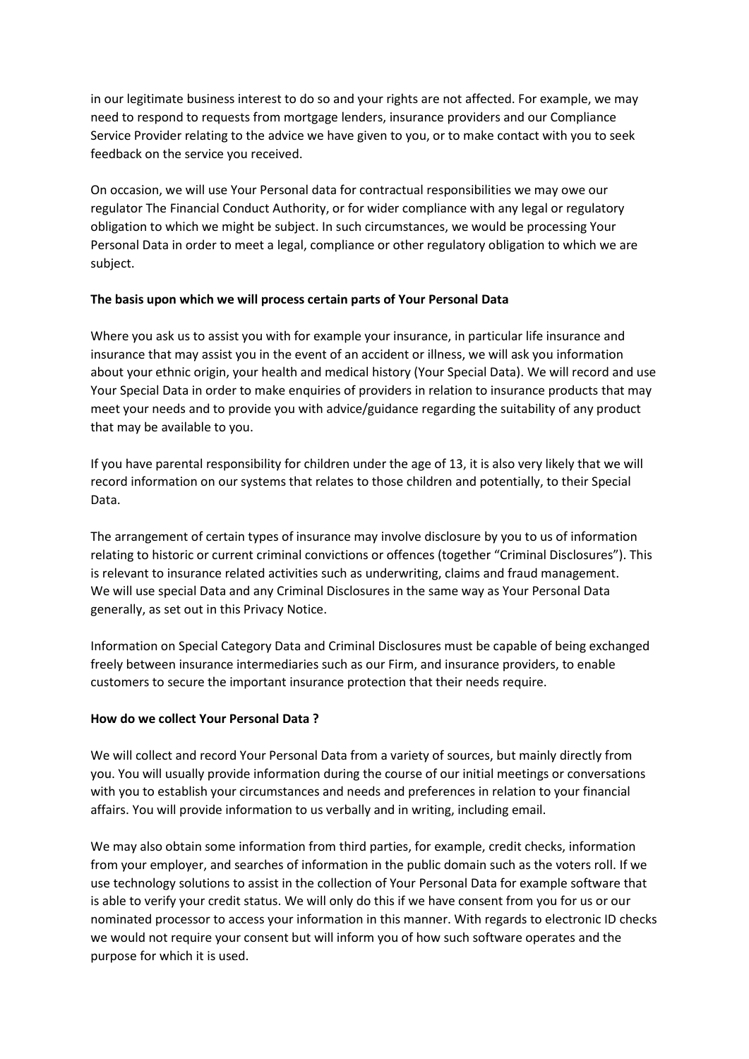in our legitimate business interest to do so and your rights are not affected. For example, we may need to respond to requests from mortgage lenders, insurance providers and our Compliance Service Provider relating to the advice we have given to you, or to make contact with you to seek feedback on the service you received.

On occasion, we will use Your Personal data for contractual responsibilities we may owe our regulator The Financial Conduct Authority, or for wider compliance with any legal or regulatory obligation to which we might be subject. In such circumstances, we would be processing Your Personal Data in order to meet a legal, compliance or other regulatory obligation to which we are subject.

## **The basis upon which we will process certain parts of Your Personal Data**

Where you ask us to assist you with for example your insurance, in particular life insurance and insurance that may assist you in the event of an accident or illness, we will ask you information about your ethnic origin, your health and medical history (Your Special Data). We will record and use Your Special Data in order to make enquiries of providers in relation to insurance products that may meet your needs and to provide you with advice/guidance regarding the suitability of any product that may be available to you.

If you have parental responsibility for children under the age of 13, it is also very likely that we will record information on our systems that relates to those children and potentially, to their Special Data.

The arrangement of certain types of insurance may involve disclosure by you to us of information relating to historic or current criminal convictions or offences (together "Criminal Disclosures"). This is relevant to insurance related activities such as underwriting, claims and fraud management. We will use special Data and any Criminal Disclosures in the same way as Your Personal Data generally, as set out in this Privacy Notice.

Information on Special Category Data and Criminal Disclosures must be capable of being exchanged freely between insurance intermediaries such as our Firm, and insurance providers, to enable customers to secure the important insurance protection that their needs require.

### **How do we collect Your Personal Data ?**

We will collect and record Your Personal Data from a variety of sources, but mainly directly from you. You will usually provide information during the course of our initial meetings or conversations with you to establish your circumstances and needs and preferences in relation to your financial affairs. You will provide information to us verbally and in writing, including email.

We may also obtain some information from third parties, for example, credit checks, information from your employer, and searches of information in the public domain such as the voters roll. If we use technology solutions to assist in the collection of Your Personal Data for example software that is able to verify your credit status. We will only do this if we have consent from you for us or our nominated processor to access your information in this manner. With regards to electronic ID checks we would not require your consent but will inform you of how such software operates and the purpose for which it is used.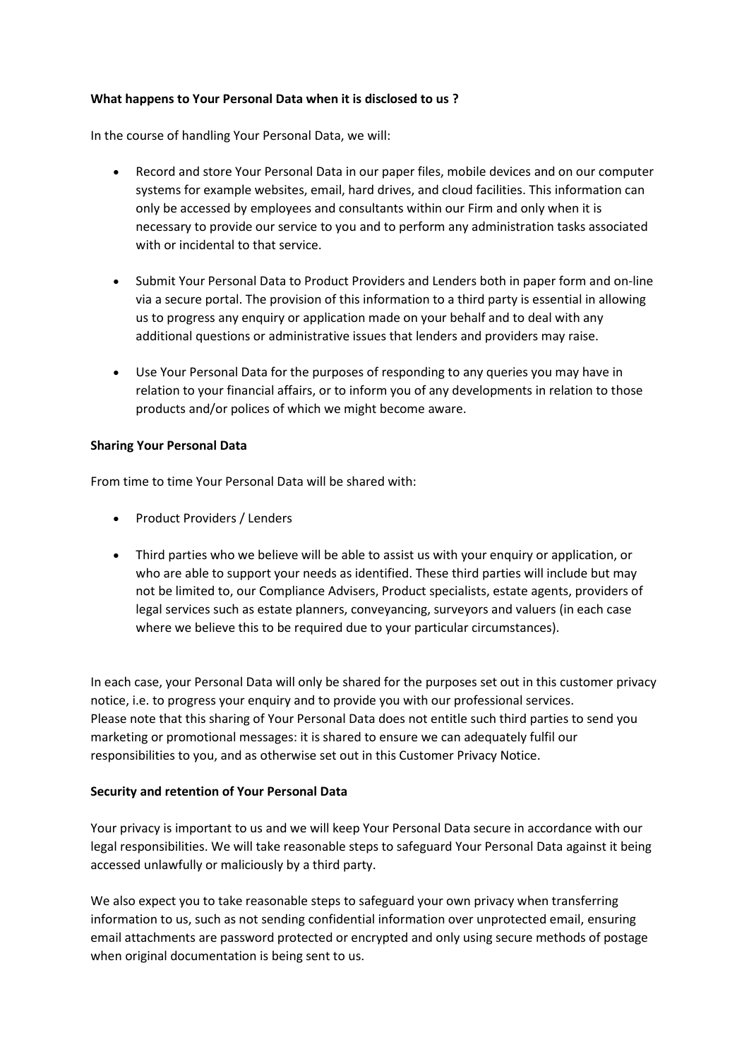## **What happens to Your Personal Data when it is disclosed to us ?**

In the course of handling Your Personal Data, we will:

- Record and store Your Personal Data in our paper files, mobile devices and on our computer systems for example websites, email, hard drives, and cloud facilities. This information can only be accessed by employees and consultants within our Firm and only when it is necessary to provide our service to you and to perform any administration tasks associated with or incidental to that service.
- Submit Your Personal Data to Product Providers and Lenders both in paper form and on-line via a secure portal. The provision of this information to a third party is essential in allowing us to progress any enquiry or application made on your behalf and to deal with any additional questions or administrative issues that lenders and providers may raise.
- Use Your Personal Data for the purposes of responding to any queries you may have in relation to your financial affairs, or to inform you of any developments in relation to those products and/or polices of which we might become aware.

## **Sharing Your Personal Data**

From time to time Your Personal Data will be shared with:

- Product Providers / Lenders
- Third parties who we believe will be able to assist us with your enquiry or application, or who are able to support your needs as identified. These third parties will include but may not be limited to, our Compliance Advisers, Product specialists, estate agents, providers of legal services such as estate planners, conveyancing, surveyors and valuers (in each case where we believe this to be required due to your particular circumstances).

In each case, your Personal Data will only be shared for the purposes set out in this customer privacy notice, i.e. to progress your enquiry and to provide you with our professional services. Please note that this sharing of Your Personal Data does not entitle such third parties to send you marketing or promotional messages: it is shared to ensure we can adequately fulfil our responsibilities to you, and as otherwise set out in this Customer Privacy Notice.

### **Security and retention of Your Personal Data**

Your privacy is important to us and we will keep Your Personal Data secure in accordance with our legal responsibilities. We will take reasonable steps to safeguard Your Personal Data against it being accessed unlawfully or maliciously by a third party.

We also expect you to take reasonable steps to safeguard your own privacy when transferring information to us, such as not sending confidential information over unprotected email, ensuring email attachments are password protected or encrypted and only using secure methods of postage when original documentation is being sent to us.